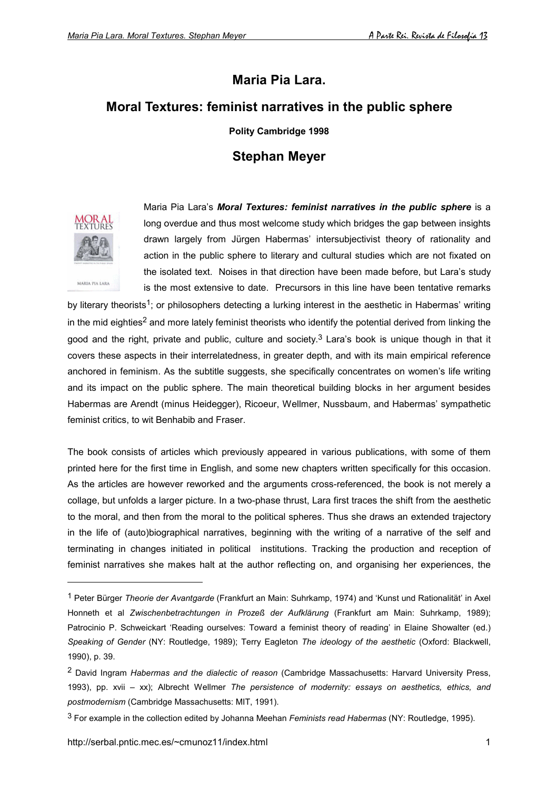## **Maria Pia Lara.**

## **Moral Textures: feminist narratives in the public sphere**

**Polity Cambridge 1998**

## **Stephan Meyer**



l

Maria Pia Lara's *Moral Textures: feminist narratives in the public sphere* is a long overdue and thus most welcome study which bridges the gap between insights drawn largely from Jürgen Habermas' intersubjectivist theory of rationality and action in the public sphere to literary and cultural studies which are not fixated on the isolated text. Noises in that direction have been made before, but Lara's study is the most extensive to date. Precursors in this line have been tentative remarks

by literary theorists<sup>1</sup>; or philosophers detecting a lurking interest in the aesthetic in Habermas' writing in the mid eighties<sup>2</sup> and more lately feminist theorists who identify the potential derived from linking the good and the right, private and public, culture and society.<sup>3</sup> Lara's book is unique though in that it covers these aspects in their interrelatedness, in greater depth, and with its main empirical reference anchored in feminism. As the subtitle suggests, she specifically concentrates on women's life writing and its impact on the public sphere. The main theoretical building blocks in her argument besides Habermas are Arendt (minus Heidegger), Ricoeur, Wellmer, Nussbaum, and Habermas' sympathetic feminist critics, to wit Benhabib and Fraser.

The book consists of articles which previously appeared in various publications, with some of them printed here for the first time in English, and some new chapters written specifically for this occasion. As the articles are however reworked and the arguments cross-referenced, the book is not merely a collage, but unfolds a larger picture. In a two-phase thrust, Lara first traces the shift from the aesthetic to the moral, and then from the moral to the political spheres. Thus she draws an extended trajectory in the life of (auto)biographical narratives, beginning with the writing of a narrative of the self and terminating in changes initiated in political institutions. Tracking the production and reception of feminist narratives she makes halt at the author reflecting on, and organising her experiences, the

<sup>1</sup> Peter Bürger *Theorie der Avantgarde* (Frankfurt an Main: Suhrkamp, 1974) and 'Kunst und Rationalität' in Axel Honneth et al *Zwischenbetrachtungen in Prozeß der Aufklärung* (Frankfurt am Main: Suhrkamp, 1989); Patrocinio P. Schweickart 'Reading ourselves: Toward a feminist theory of reading' in Elaine Showalter (ed.) *Speaking of Gender* (NY: Routledge, 1989); Terry Eagleton *The ideology of the aesthetic* (Oxford: Blackwell, 1990), p. 39.

<sup>2</sup> David Ingram *Habermas and the dialectic of reason* (Cambridge Massachusetts: Harvard University Press, 1993), pp. xvii – xx); Albrecht Wellmer *The persistence of modernity: essays on aesthetics, ethics, and postmodernism* (Cambridge Massachusetts: MIT, 1991).

<sup>3</sup> For example in the collection edited by Johanna Meehan *Feminists read Habermas* (NY: Routledge, 1995).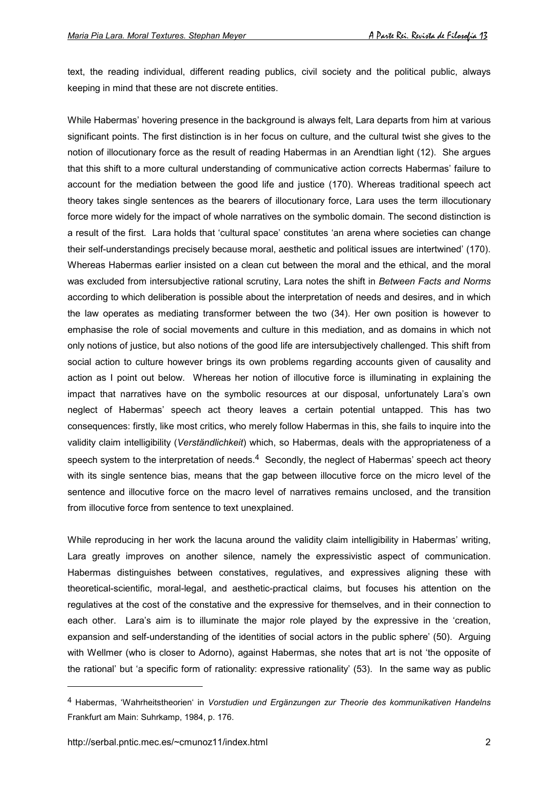text, the reading individual, different reading publics, civil society and the political public, always keeping in mind that these are not discrete entities.

While Habermas' hovering presence in the background is always felt, Lara departs from him at various significant points. The first distinction is in her focus on culture, and the cultural twist she gives to the notion of illocutionary force as the result of reading Habermas in an Arendtian light (12). She argues that this shift to a more cultural understanding of communicative action corrects Habermas' failure to account for the mediation between the good life and justice (170). Whereas traditional speech act theory takes single sentences as the bearers of illocutionary force, Lara uses the term illocutionary force more widely for the impact of whole narratives on the symbolic domain. The second distinction is a result of the first. Lara holds that 'cultural space' constitutes 'an arena where societies can change their self-understandings precisely because moral, aesthetic and political issues are intertwined' (170). Whereas Habermas earlier insisted on a clean cut between the moral and the ethical, and the moral was excluded from intersubjective rational scrutiny, Lara notes the shift in *Between Facts and Norms* according to which deliberation is possible about the interpretation of needs and desires, and in which the law operates as mediating transformer between the two (34). Her own position is however to emphasise the role of social movements and culture in this mediation, and as domains in which not only notions of justice, but also notions of the good life are intersubjectively challenged. This shift from social action to culture however brings its own problems regarding accounts given of causality and action as I point out below. Whereas her notion of illocutive force is illuminating in explaining the impact that narratives have on the symbolic resources at our disposal, unfortunately Lara's own neglect of Habermas' speech act theory leaves a certain potential untapped. This has two consequences: firstly, like most critics, who merely follow Habermas in this, she fails to inquire into the validity claim intelligibility (*Verständlichkeit*) which, so Habermas, deals with the appropriateness of a speech system to the interpretation of needs.<sup>4</sup> Secondly, the neglect of Habermas' speech act theory with its single sentence bias, means that the gap between illocutive force on the micro level of the sentence and illocutive force on the macro level of narratives remains unclosed, and the transition from illocutive force from sentence to text unexplained.

While reproducing in her work the lacuna around the validity claim intelligibility in Habermas' writing, Lara greatly improves on another silence, namely the expressivistic aspect of communication. Habermas distinguishes between constatives, regulatives, and expressives aligning these with theoretical-scientific, moral-legal, and aesthetic-practical claims, but focuses his attention on the regulatives at the cost of the constative and the expressive for themselves, and in their connection to each other. Lara's aim is to illuminate the major role played by the expressive in the 'creation, expansion and self-understanding of the identities of social actors in the public sphere' (50). Arguing with Wellmer (who is closer to Adorno), against Habermas, she notes that art is not 'the opposite of the rational' but 'a specific form of rationality: expressive rationality' (53). In the same way as public

<sup>4</sup> Habermas, 'Wahrheitstheorien' in *Vorstudien und Ergänzungen zur Theorie des kommunikativen Handelns* Frankfurt am Main: Suhrkamp, 1984, p. 176.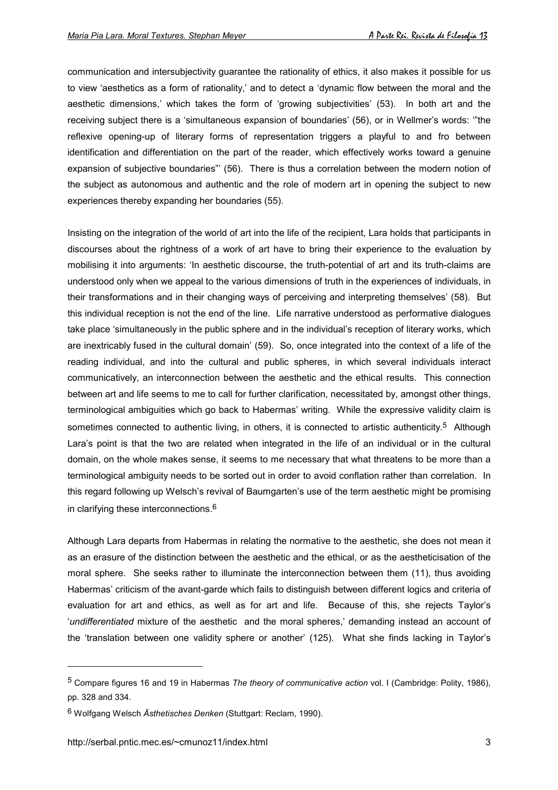communication and intersubjectivity guarantee the rationality of ethics, it also makes it possible for us to view 'aesthetics as a form of rationality,' and to detect a 'dynamic flow between the moral and the aesthetic dimensions,' which takes the form of 'growing subjectivities' (53). In both art and the receiving subject there is a 'simultaneous expansion of boundaries' (56), or in Wellmer's words: '"the reflexive opening-up of literary forms of representation triggers a playful to and fro between identification and differentiation on the part of the reader, which effectively works toward a genuine expansion of subjective boundaries"' (56). There is thus a correlation between the modern notion of the subject as autonomous and authentic and the role of modern art in opening the subject to new experiences thereby expanding her boundaries (55).

Insisting on the integration of the world of art into the life of the recipient, Lara holds that participants in discourses about the rightness of a work of art have to bring their experience to the evaluation by mobilising it into arguments: 'In aesthetic discourse, the truth-potential of art and its truth-claims are understood only when we appeal to the various dimensions of truth in the experiences of individuals, in their transformations and in their changing ways of perceiving and interpreting themselves' (58). But this individual reception is not the end of the line. Life narrative understood as performative dialogues take place 'simultaneously in the public sphere and in the individual's reception of literary works, which are inextricably fused in the cultural domain' (59). So, once integrated into the context of a life of the reading individual, and into the cultural and public spheres, in which several individuals interact communicatively, an interconnection between the aesthetic and the ethical results. This connection between art and life seems to me to call for further clarification, necessitated by, amongst other things, terminological ambiguities which go back to Habermas' writing. While the expressive validity claim is sometimes connected to authentic living, in others, it is connected to artistic authenticity.<sup>5</sup> Although Lara's point is that the two are related when integrated in the life of an individual or in the cultural domain, on the whole makes sense, it seems to me necessary that what threatens to be more than a terminological ambiguity needs to be sorted out in order to avoid conflation rather than correlation. In this regard following up Welsch's revival of Baumgarten's use of the term aesthetic might be promising in clarifying these interconnections.6

Although Lara departs from Habermas in relating the normative to the aesthetic, she does not mean it as an erasure of the distinction between the aesthetic and the ethical, or as the aestheticisation of the moral sphere. She seeks rather to illuminate the interconnection between them (11), thus avoiding Habermas' criticism of the avant-garde which fails to distinguish between different logics and criteria of evaluation for art and ethics, as well as for art and life. Because of this, she rejects Taylor's '*undifferentiated* mixture of the aesthetic and the moral spheres,' demanding instead an account of the 'translation between one validity sphere or another' (125). What she finds lacking in Taylor's

<sup>5</sup> Compare figures 16 and 19 in Habermas *The theory of communicative action* vol. I (Cambridge: Polity, 1986), pp. 328 and 334.

<sup>6</sup> Wolfgang Welsch *Ästhetisches Denken* (Stuttgart: Reclam, 1990).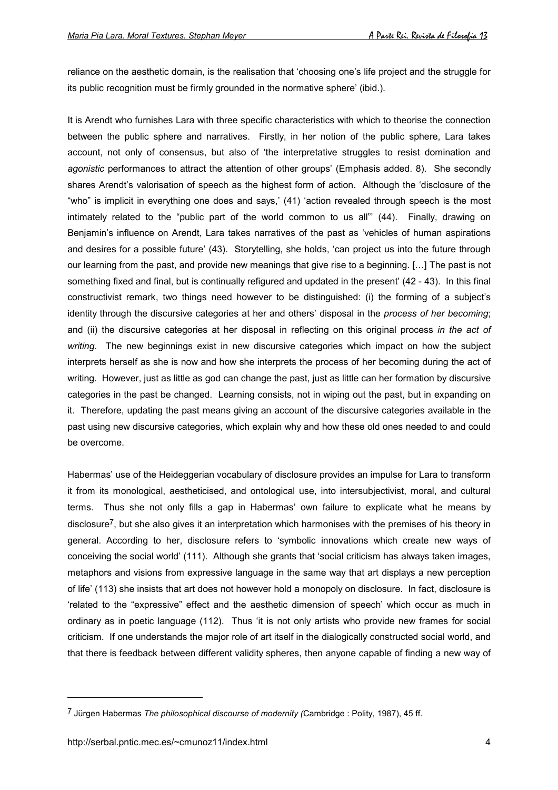reliance on the aesthetic domain, is the realisation that 'choosing one's life project and the struggle for its public recognition must be firmly grounded in the normative sphere' (ibid.).

It is Arendt who furnishes Lara with three specific characteristics with which to theorise the connection between the public sphere and narratives. Firstly, in her notion of the public sphere, Lara takes account, not only of consensus, but also of 'the interpretative struggles to resist domination and *agonistic* performances to attract the attention of other groups' (Emphasis added. 8). She secondly shares Arendt's valorisation of speech as the highest form of action. Although the 'disclosure of the "who" is implicit in everything one does and says,' (41) 'action revealed through speech is the most intimately related to the "public part of the world common to us all"' (44). Finally, drawing on Benjamin's influence on Arendt, Lara takes narratives of the past as 'vehicles of human aspirations and desires for a possible future' (43). Storytelling, she holds, 'can project us into the future through our learning from the past, and provide new meanings that give rise to a beginning. […] The past is not something fixed and final, but is continually refigured and updated in the present' (42 - 43). In this final constructivist remark, two things need however to be distinguished: (i) the forming of a subject's identity through the discursive categories at her and others' disposal in the *process of her becoming*; and (ii) the discursive categories at her disposal in reflecting on this original process *in the act of writing*. The new beginnings exist in new discursive categories which impact on how the subject interprets herself as she is now and how she interprets the process of her becoming during the act of writing. However, just as little as god can change the past, just as little can her formation by discursive categories in the past be changed. Learning consists, not in wiping out the past, but in expanding on it. Therefore, updating the past means giving an account of the discursive categories available in the past using new discursive categories, which explain why and how these old ones needed to and could be overcome.

Habermas' use of the Heideggerian vocabulary of disclosure provides an impulse for Lara to transform it from its monological, aestheticised, and ontological use, into intersubjectivist, moral, and cultural terms. Thus she not only fills a gap in Habermas' own failure to explicate what he means by disclosure7, but she also gives it an interpretation which harmonises with the premises of his theory in general. According to her, disclosure refers to 'symbolic innovations which create new ways of conceiving the social world' (111). Although she grants that 'social criticism has always taken images, metaphors and visions from expressive language in the same way that art displays a new perception of life' (113) she insists that art does not however hold a monopoly on disclosure. In fact, disclosure is 'related to the "expressive" effect and the aesthetic dimension of speech' which occur as much in ordinary as in poetic language (112). Thus 'it is not only artists who provide new frames for social criticism. If one understands the major role of art itself in the dialogically constructed social world, and that there is feedback between different validity spheres, then anyone capable of finding a new way of

<sup>7</sup> Jürgen Habermas *The philosophical discourse of modernity (*Cambridge : Polity, 1987), 45 ff.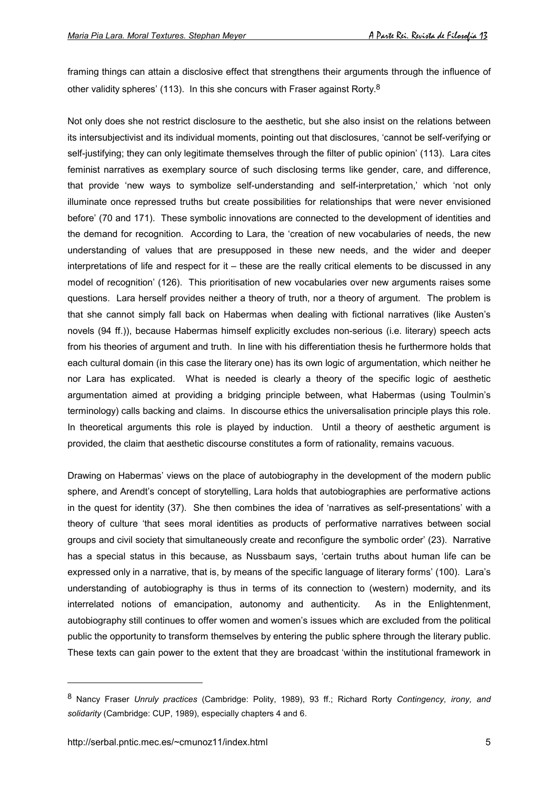framing things can attain a disclosive effect that strengthens their arguments through the influence of other validity spheres' (113). In this she concurs with Fraser against Rorty.8

Not only does she not restrict disclosure to the aesthetic, but she also insist on the relations between its intersubjectivist and its individual moments, pointing out that disclosures, 'cannot be self-verifying or self-justifying; they can only legitimate themselves through the filter of public opinion' (113). Lara cites feminist narratives as exemplary source of such disclosing terms like gender, care, and difference, that provide 'new ways to symbolize self-understanding and self-interpretation,' which 'not only illuminate once repressed truths but create possibilities for relationships that were never envisioned before' (70 and 171). These symbolic innovations are connected to the development of identities and the demand for recognition. According to Lara, the 'creation of new vocabularies of needs, the new understanding of values that are presupposed in these new needs, and the wider and deeper interpretations of life and respect for it – these are the really critical elements to be discussed in any model of recognition' (126). This prioritisation of new vocabularies over new arguments raises some questions. Lara herself provides neither a theory of truth, nor a theory of argument. The problem is that she cannot simply fall back on Habermas when dealing with fictional narratives (like Austen's novels (94 ff.)), because Habermas himself explicitly excludes non-serious (i.e. literary) speech acts from his theories of argument and truth. In line with his differentiation thesis he furthermore holds that each cultural domain (in this case the literary one) has its own logic of argumentation, which neither he nor Lara has explicated. What is needed is clearly a theory of the specific logic of aesthetic argumentation aimed at providing a bridging principle between, what Habermas (using Toulmin's terminology) calls backing and claims. In discourse ethics the universalisation principle plays this role. In theoretical arguments this role is played by induction. Until a theory of aesthetic argument is provided, the claim that aesthetic discourse constitutes a form of rationality, remains vacuous.

Drawing on Habermas' views on the place of autobiography in the development of the modern public sphere, and Arendt's concept of storytelling, Lara holds that autobiographies are performative actions in the quest for identity (37). She then combines the idea of 'narratives as self-presentations' with a theory of culture 'that sees moral identities as products of performative narratives between social groups and civil society that simultaneously create and reconfigure the symbolic order' (23). Narrative has a special status in this because, as Nussbaum says, 'certain truths about human life can be expressed only in a narrative, that is, by means of the specific language of literary forms' (100). Lara's understanding of autobiography is thus in terms of its connection to (western) modernity, and its interrelated notions of emancipation, autonomy and authenticity. As in the Enlightenment, autobiography still continues to offer women and women's issues which are excluded from the political public the opportunity to transform themselves by entering the public sphere through the literary public. These texts can gain power to the extent that they are broadcast 'within the institutional framework in

<sup>8</sup> Nancy Fraser *Unruly practices* (Cambridge: Polity, 1989), 93 ff.; Richard Rorty *Contingency, irony, and solidarity* (Cambridge: CUP, 1989), especially chapters 4 and 6.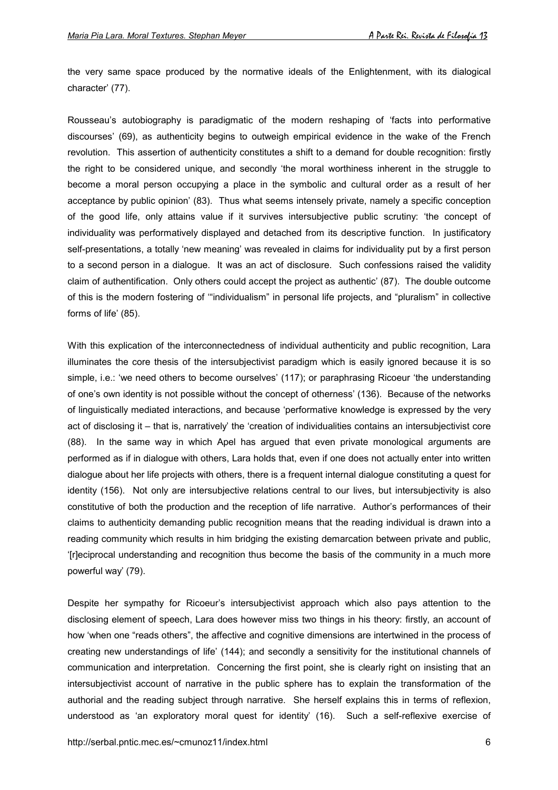the very same space produced by the normative ideals of the Enlightenment, with its dialogical character' (77).

Rousseau's autobiography is paradigmatic of the modern reshaping of 'facts into performative discourses' (69), as authenticity begins to outweigh empirical evidence in the wake of the French revolution. This assertion of authenticity constitutes a shift to a demand for double recognition: firstly the right to be considered unique, and secondly 'the moral worthiness inherent in the struggle to become a moral person occupying a place in the symbolic and cultural order as a result of her acceptance by public opinion' (83). Thus what seems intensely private, namely a specific conception of the good life, only attains value if it survives intersubjective public scrutiny: 'the concept of individuality was performatively displayed and detached from its descriptive function. In justificatory self-presentations, a totally 'new meaning' was revealed in claims for individuality put by a first person to a second person in a dialogue. It was an act of disclosure. Such confessions raised the validity claim of authentification. Only others could accept the project as authentic' (87). The double outcome of this is the modern fostering of '"individualism" in personal life projects, and "pluralism" in collective forms of life' (85).

With this explication of the interconnectedness of individual authenticity and public recognition, Lara illuminates the core thesis of the intersubjectivist paradigm which is easily ignored because it is so simple, i.e.: 'we need others to become ourselves' (117); or paraphrasing Ricoeur 'the understanding of one's own identity is not possible without the concept of otherness' (136). Because of the networks of linguistically mediated interactions, and because 'performative knowledge is expressed by the very act of disclosing it – that is, narratively' the 'creation of individualities contains an intersubjectivist core (88). In the same way in which Apel has argued that even private monological arguments are performed as if in dialogue with others, Lara holds that, even if one does not actually enter into written dialogue about her life projects with others, there is a frequent internal dialogue constituting a quest for identity (156). Not only are intersubjective relations central to our lives, but intersubjectivity is also constitutive of both the production and the reception of life narrative. Author's performances of their claims to authenticity demanding public recognition means that the reading individual is drawn into a reading community which results in him bridging the existing demarcation between private and public, '[r]eciprocal understanding and recognition thus become the basis of the community in a much more powerful way' (79).

Despite her sympathy for Ricoeur's intersubjectivist approach which also pays attention to the disclosing element of speech, Lara does however miss two things in his theory: firstly, an account of how 'when one "reads others", the affective and cognitive dimensions are intertwined in the process of creating new understandings of life' (144); and secondly a sensitivity for the institutional channels of communication and interpretation. Concerning the first point, she is clearly right on insisting that an intersubjectivist account of narrative in the public sphere has to explain the transformation of the authorial and the reading subject through narrative. She herself explains this in terms of reflexion, understood as 'an exploratory moral quest for identity' (16). Such a self-reflexive exercise of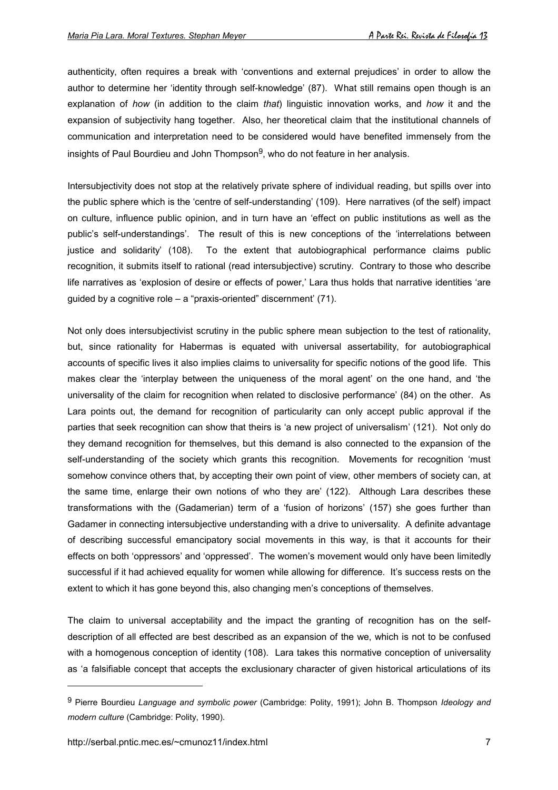authenticity, often requires a break with 'conventions and external prejudices' in order to allow the author to determine her 'identity through self-knowledge' (87). What still remains open though is an explanation of *how* (in addition to the claim *that*) linguistic innovation works, and *how* it and the expansion of subjectivity hang together. Also, her theoretical claim that the institutional channels of communication and interpretation need to be considered would have benefited immensely from the insights of Paul Bourdieu and John Thompson $9$ , who do not feature in her analysis.

Intersubjectivity does not stop at the relatively private sphere of individual reading, but spills over into the public sphere which is the 'centre of self-understanding' (109). Here narratives (of the self) impact on culture, influence public opinion, and in turn have an 'effect on public institutions as well as the public's self-understandings'. The result of this is new conceptions of the 'interrelations between justice and solidarity' (108). To the extent that autobiographical performance claims public recognition, it submits itself to rational (read intersubjective) scrutiny. Contrary to those who describe life narratives as 'explosion of desire or effects of power,' Lara thus holds that narrative identities 'are guided by a cognitive role – a "praxis-oriented" discernment' (71).

Not only does intersubjectivist scrutiny in the public sphere mean subjection to the test of rationality, but, since rationality for Habermas is equated with universal assertability, for autobiographical accounts of specific lives it also implies claims to universality for specific notions of the good life. This makes clear the 'interplay between the uniqueness of the moral agent' on the one hand, and 'the universality of the claim for recognition when related to disclosive performance' (84) on the other. As Lara points out, the demand for recognition of particularity can only accept public approval if the parties that seek recognition can show that theirs is 'a new project of universalism' (121). Not only do they demand recognition for themselves, but this demand is also connected to the expansion of the self-understanding of the society which grants this recognition. Movements for recognition 'must somehow convince others that, by accepting their own point of view, other members of society can, at the same time, enlarge their own notions of who they are' (122). Although Lara describes these transformations with the (Gadamerian) term of a 'fusion of horizons' (157) she goes further than Gadamer in connecting intersubjective understanding with a drive to universality. A definite advantage of describing successful emancipatory social movements in this way, is that it accounts for their effects on both 'oppressors' and 'oppressed'. The women's movement would only have been limitedly successful if it had achieved equality for women while allowing for difference. It's success rests on the extent to which it has gone beyond this, also changing men's conceptions of themselves.

The claim to universal acceptability and the impact the granting of recognition has on the selfdescription of all effected are best described as an expansion of the we, which is not to be confused with a homogenous conception of identity (108). Lara takes this normative conception of universality as 'a falsifiable concept that accepts the exclusionary character of given historical articulations of its

<sup>9</sup> Pierre Bourdieu *Language and symbolic power* (Cambridge: Polity, 1991); John B. Thompson *Ideology and modern culture* (Cambridge: Polity, 1990).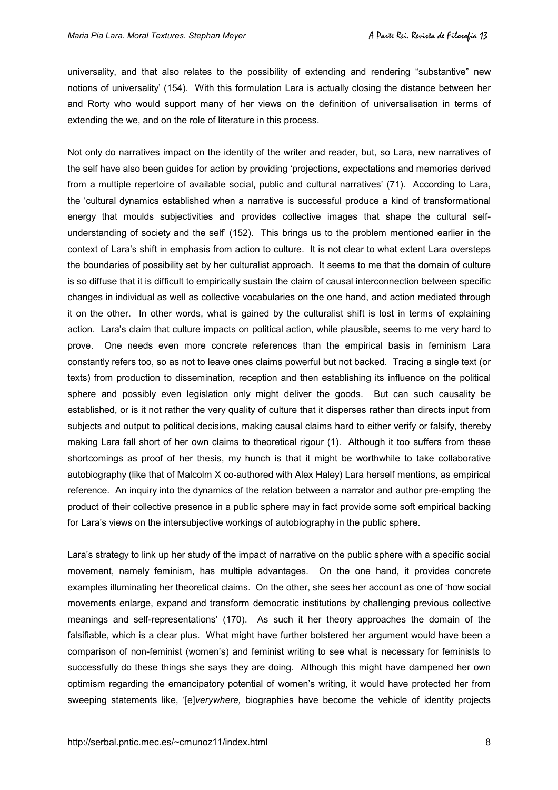universality, and that also relates to the possibility of extending and rendering "substantive" new notions of universality' (154). With this formulation Lara is actually closing the distance between her and Rorty who would support many of her views on the definition of universalisation in terms of extending the we, and on the role of literature in this process.

Not only do narratives impact on the identity of the writer and reader, but, so Lara, new narratives of the self have also been guides for action by providing 'projections, expectations and memories derived from a multiple repertoire of available social, public and cultural narratives' (71). According to Lara, the 'cultural dynamics established when a narrative is successful produce a kind of transformational energy that moulds subjectivities and provides collective images that shape the cultural selfunderstanding of society and the self' (152). This brings us to the problem mentioned earlier in the context of Lara's shift in emphasis from action to culture. It is not clear to what extent Lara oversteps the boundaries of possibility set by her culturalist approach. It seems to me that the domain of culture is so diffuse that it is difficult to empirically sustain the claim of causal interconnection between specific changes in individual as well as collective vocabularies on the one hand, and action mediated through it on the other. In other words, what is gained by the culturalist shift is lost in terms of explaining action. Lara's claim that culture impacts on political action, while plausible, seems to me very hard to prove. One needs even more concrete references than the empirical basis in feminism Lara constantly refers too, so as not to leave ones claims powerful but not backed. Tracing a single text (or texts) from production to dissemination, reception and then establishing its influence on the political sphere and possibly even legislation only might deliver the goods. But can such causality be established, or is it not rather the very quality of culture that it disperses rather than directs input from subjects and output to political decisions, making causal claims hard to either verify or falsify, thereby making Lara fall short of her own claims to theoretical rigour (1). Although it too suffers from these shortcomings as proof of her thesis, my hunch is that it might be worthwhile to take collaborative autobiography (like that of Malcolm X co-authored with Alex Haley) Lara herself mentions, as empirical reference. An inquiry into the dynamics of the relation between a narrator and author pre-empting the product of their collective presence in a public sphere may in fact provide some soft empirical backing for Lara's views on the intersubjective workings of autobiography in the public sphere.

Lara's strategy to link up her study of the impact of narrative on the public sphere with a specific social movement, namely feminism, has multiple advantages. On the one hand, it provides concrete examples illuminating her theoretical claims. On the other, she sees her account as one of 'how social movements enlarge, expand and transform democratic institutions by challenging previous collective meanings and self-representations' (170). As such it her theory approaches the domain of the falsifiable, which is a clear plus. What might have further bolstered her argument would have been a comparison of non-feminist (women's) and feminist writing to see what is necessary for feminists to successfully do these things she says they are doing. Although this might have dampened her own optimism regarding the emancipatory potential of women's writing, it would have protected her from sweeping statements like, '[e]*verywhere,* biographies have become the vehicle of identity projects